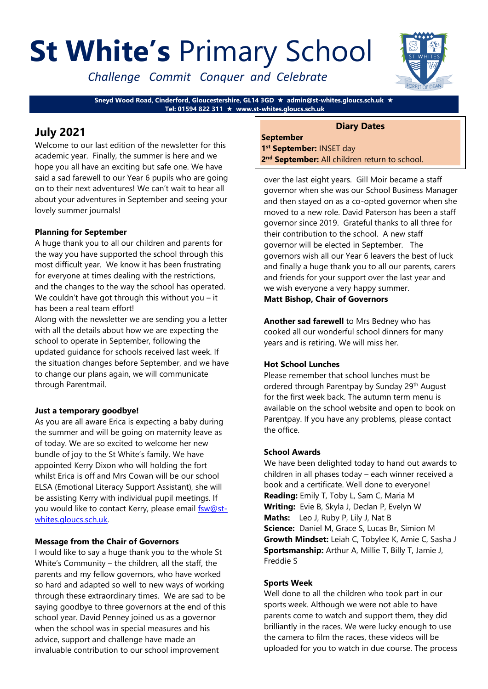# **St White's** Primary School

*Challenge Commit Conquer and Celebrate*



**Sneyd Wood Road, Cinderford, Gloucestershire, GL14 3GD admin@st-whites.gloucs.sch.uk Tel: 01594 822 311 www.st-whites.gloucs.sch.uk**

# **July 2021**

Welcome to our last edition of the newsletter for this academic year. Finally, the summer is here and we hope you all have an exciting but safe one. We have said a sad farewell to our Year 6 pupils who are going on to their next adventures! We can't wait to hear all about your adventures in September and seeing your lovely summer journals!

# **Planning for September**

A huge thank you to all our children and parents for the way you have supported the school through this most difficult year. We know it has been frustrating for everyone at times dealing with the restrictions, and the changes to the way the school has operated. We couldn't have got through this without you – it has been a real team effort!

Along with the newsletter we are sending you a letter with all the details about how we are expecting the school to operate in September, following the updated guidance for schools received last week. If the situation changes before September, and we have to change our plans again, we will communicate through Parentmail.

# **Just a temporary goodbye!**

As you are all aware Erica is expecting a baby during the summer and will be going on maternity leave as of today. We are so excited to welcome her new bundle of joy to the St White's family. We have appointed Kerry Dixon who will holding the fort whilst Erica is off and Mrs Cowan will be our school ELSA (Emotional Literacy Support Assistant), she will be assisting Kerry with individual pupil meetings. If you would like to contact Kerry, please email [fsw@st](mailto:fsw@st-whites.gloucs.sch.uk)[whites.gloucs.sch.uk.](mailto:fsw@st-whites.gloucs.sch.uk)

# **Message from the Chair of Governors**

I would like to say a huge thank you to the whole St White's Community – the children, all the staff, the parents and my fellow governors, who have worked so hard and adapted so well to new ways of working through these extraordinary times. We are sad to be saying goodbye to three governors at the end of this school year. David Penney joined us as a governor when the school was in special measures and his advice, support and challenge have made an invaluable contribution to our school improvement

# **Diary Dates**

**September 1 st September:** INSET day 2<sup>nd</sup> September: All children return to school.

over the last eight years. Gill Moir became a staff governor when she was our School Business Manager and then stayed on as a co-opted governor when she moved to a new role. David Paterson has been a staff governor since 2019. Grateful thanks to all three for their contribution to the school. A new staff governor will be elected in September. The governors wish all our Year 6 leavers the best of luck and finally a huge thank you to all our parents, carers and friends for your support over the last year and we wish everyone a very happy summer. **Matt Bishop, Chair of Governors**

**Another sad farewell** to Mrs Bedney who has cooked all our wonderful school dinners for many years and is retiring. We will miss her.

# **Hot School Lunches**

Please remember that school lunches must be ordered through Parentpay by Sunday 29th August for the first week back. The autumn term menu is available on the school website and open to book on Parentpay. If you have any problems, please contact the office.

# **School Awards**

We have been delighted today to hand out awards to children in all phases today – each winner received a book and a certificate. Well done to everyone! **Reading:** Emily T, Toby L, Sam C, Maria M **Writing:** Evie B, Skyla J, Declan P, Evelyn W **Maths:** Leo J, Ruby P, Lily J, Nat B **Science:** Daniel M, Grace S, Lucas Br, Simion M **Growth Mindset:** Leiah C, Tobylee K, Amie C, Sasha J **Sportsmanship:** Arthur A, Millie T, Billy T, Jamie J, Freddie S

# **Sports Week**

Well done to all the children who took part in our sports week. Although we were not able to have parents come to watch and support them, they did brilliantly in the races. We were lucky enough to use the camera to film the races, these videos will be uploaded for you to watch in due course. The process